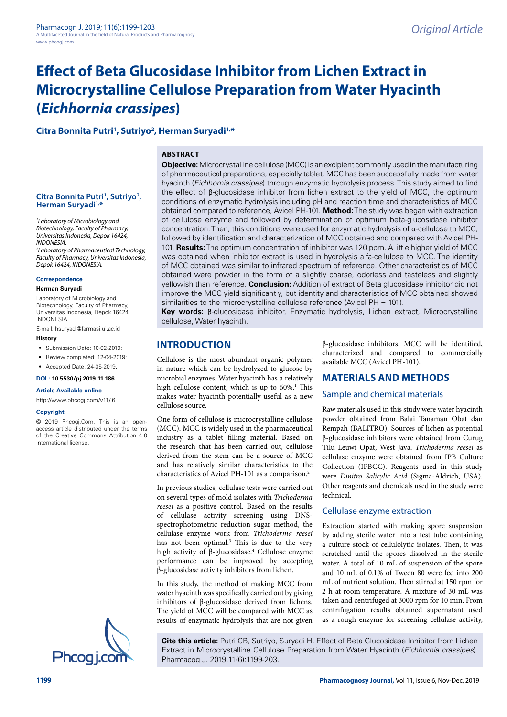# **Effect of Beta Glucosidase Inhibitor from Lichen Extract in Microcrystalline Cellulose Preparation from Water Hyacinth (***Eichhornia crassipes***)**

# **Citra Bonnita Putri1 , Sutriyo2 , Herman Suryadi1,\***

# **ABSTRACT**

# **Citra Bonnita Putri1 , Sutriyo2 , Herman Suryadi1,\***

*1 Laboratory of Microbiology and Biotechnology, Faculty of Pharmacy, Universitas Indonesia, Depok 16424, INDONESIA. 2 Laboratory of Pharmaceutical Technology,* 

*Faculty of Pharmacy, Universitas Indonesia, Depok 16424, INDONESIA.*

#### **Correspondence**

**Herman Suryadi**

Laboratory of Microbiology and Biotechnology, Faculty of Pharmacy, Universitas Indonesia, Depok 16424, INDONESIA.

E-mail: [hsuryadi@farmasi.ui.ac.id](mailto:hsuryadi@farmasi.ui.ac.id)

# **History**

• Submission Date: 10-02-2019:

• Review completed: 12-04-2019:

• Accepted Date: 24-05-2019.

**DOI : 10.5530/pj.2019.11.186**

**Article Available online** 

[http://www.phcogj.com/v11/i](http://www.phcogj.com/v11/i6)6

#### **Copyright**

© 2019 Phcogj.Com. This is an openaccess article distributed under the terms of the Creative Commons Attribution 4.0 International license.



**Objective:** Microcrystalline cellulose (MCC) is an excipient commonly used in the manufacturing of pharmaceutical preparations, especially tablet. MCC has been successfully made from water hyacinth (*Eichhornia crassipes*) through enzymatic hydrolysis process. This study aimed to find the effect of β-glucosidase inhibitor from lichen extract to the yield of MCC, the optimum conditions of enzymatic hydrolysis including pH and reaction time and characteristics of MCC obtained compared to reference, Avicel PH-101. **Method:** The study was began with extraction of cellulose enzyme and followed by determination of optimum beta-glucosidase inhibitor concentration. Then, this conditions were used for enzymatic hydrolysis of α-cellulose to MCC, followed by identification and characterization of MCC obtained and compared with Avicel PH-101. **Results:** The optimum concentration of inhibitor was 120 ppm. A little higher yield of MCC was obtained when inhibitor extract is used in hydrolysis alfa-cellulose to MCC. The identity of MCC obtained was similar to infrared spectrum of reference. Other characteristics of MCC obtained were powder in the form of a slightly coarse, odorless and tasteless and slightly yellowish than reference. **Conclusion:** Addition of extract of Beta glucosidase inhibitor did not improve the MCC yield significantly, but identity and characteristics of MCC obtained showed similarities to the microcrystalline cellulose reference (Avicel PH = 101).

**Key words:** β-glucosidase inhibitor, Enzymatic hydrolysis, Lichen extract, Microcrystalline cellulose, Water hyacinth.

# **INTRODUCTION**

Cellulose is the most abundant organic polymer in nature which can be hydrolyzed to glucose by microbial enzymes. Water hyacinth has a relatively high cellulose content, which is up to 60%.<sup>1</sup> This makes water hyacinth potentially useful as a new cellulose source.

One form of cellulose is microcrystalline cellulose (MCC). MCC is widely used in the pharmaceutical industry as a tablet filling material. Based on the research that has been carried out, cellulose derived from the stem can be a source of MCC and has relatively similar characteristics to the characteristics of Avicel PH-101 as a comparison.2

In previous studies, cellulase tests were carried out on several types of mold isolates with *Trichoderma reesei* as a positive control. Based on the results of cellulase activity screening using DNSspectrophotometric reduction sugar method, the cellulase enzyme work from *Trichoderma reesei*  has not been optimal.<sup>3</sup> This is due to the very high activity of β-glucosidase.4 Cellulose enzyme performance can be improved by accepting β-glucosidase activity inhibitors from lichen.

In this study, the method of making MCC from water hyacinth was specifically carried out by giving inhibitors of β-glucosidase derived from lichens. The yield of MCC will be compared with MCC as results of enzymatic hydrolysis that are not given β-glucosidase inhibitors. MCC will be identified, characterized and compared to commercially available MCC (Avicel PH-101).

# **MATERIALS AND METHODS**

## Sample and chemical materials

Raw materials used in this study were water hyacinth powder obtained from Balai Tanaman Obat dan Rempah (BALITRO). Sources of lichen as potential β-glucosidase inhibitors were obtained from Curug Tilu Leuwi Opat, West Java. *Trichoderma reesei* as cellulase enzyme were obtained from IPB Culture Collection (IPBCC). Reagents used in this study were *Dinitro Salicylic Acid* (Sigma-Aldrich, USA). Other reagents and chemicals used in the study were technical.

## Cellulase enzyme extraction

Extraction started with making spore suspension by adding sterile water into a test tube containing a culture stock of cellulolytic isolates. Then, it was scratched until the spores dissolved in the sterile water. A total of 10 mL of suspension of the spore and 10 mL of 0.1% of Tween 80 were fed into 200 mL of nutrient solution. Then stirred at 150 rpm for 2 h at room temperature. A mixture of 30 mL was taken and centrifuged at 3000 rpm for 10 min. From centrifugation results obtained supernatant used as a rough enzyme for screening cellulase activity,

**Cite this article:** Putri CB, Sutriyo, Suryadi H. Effect of Beta Glucosidase Inhibitor from Lichen Extract in Microcrystalline Cellulose Preparation from Water Hyacinth (*Eichhornia crassipes*).<br>Ph**COQ i.COM** Pharmacog J. 2019;11(6):1199-203.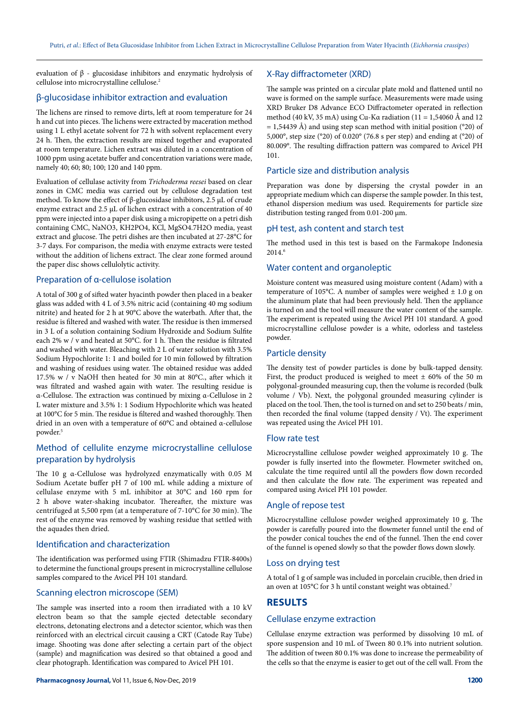evaluation of β - glucosidase inhibitors and enzymatic hydrolysis of cellulose into microcrystalline cellulose.<sup>2</sup>

# β-glucosidase inhibitor extraction and evaluation

The lichens are rinsed to remove dirts, left at room temperature for 24 h and cut into pieces. The lichens were extracted by maceration method using 1 L ethyl acetate solvent for 72 h with solvent replacement every 24 h. Then, the extraction results are mixed together and evaporated at room temperature. Lichen extract was diluted in a concentration of 1000 ppm using acetate buffer and concentration variations were made, namely 40; 60; 80; 100; 120 and 140 ppm.

Evaluation of cellulase activity from *Τrichoderma reesei* based on clear zones in CMC media was carried out by cellulose degradation test method. To know the effect of β-glucosidase inhibitors, 2.5 μL of crude enzyme extract and 2.5 μL of lichen extract with a concentration of 40 ppm were injected into a paper disk using a micropipette on a petri dish containing CMC, NaNO3, KH2PO4, KCl, MgSO4.7H2O media, yeast extract and glucose. The petri dishes are then incubated at 27-28°C for 3-7 days. For comparison, the media with enzyme extracts were tested without the addition of lichens extract. The clear zone formed around the paper disc shows cellulolytic activity.

# Preparation of α-cellulose isolation

A total of 300 g of sifted water hyacinth powder then placed in a beaker glass was added with 4 L of 3.5% nitric acid (containing 40 mg sodium nitrite) and heated for 2 h at 90°C above the waterbath. After that, the residue is filtered and washed with water. The residue is then immersed in 3 L of a solution containing Sodium Hydroxide and Sodium Sulfite each 2% w / v and heated at 50°C. for 1 h. Then the residue is filtrated and washed with water. Bleaching with 2 L of water solution with 3.5% Sodium Hypochlorite 1: 1 and boiled for 10 min followed by filtration and washing of residues using water. The obtained residue was added 17.5% w / v NaOH then heated for 30 min at 80°C., after which it was filtrated and washed again with water. The resulting residue is α-Cellulose. The extraction was continued by mixing α-Cellulose in 2 L water mixture and 3.5% 1: 1 Sodium Hypochlorite which was heated at 100°C for 5 min. The residue is filtered and washed thoroughly. Then dried in an oven with a temperature of 60°C and obtained α-cellulose powder.<sup>5</sup>

# Method of cellulite enzyme microcrystalline cellulose preparation by hydrolysis

The 10 g α-Cellulose was hydrolyzed enzymatically with 0.05 M Sodium Acetate buffer pH 7 of 100 mL while adding a mixture of cellulase enzyme with 5 mL inhibitor at 30°C and 160 rpm for 2 h above water-shaking incubator. Thereafter, the mixture was centrifuged at 5,500 rpm (at a temperature of 7-10°C for 30 min). The rest of the enzyme was removed by washing residue that settled with the aquades then dried.

## Identification and characterization

The identification was performed using FTIR (Shimadzu FTIR-8400s) to determine the functional groups present in microcrystalline cellulose samples compared to the Avicel PH 101 standard.

## Scanning electron microscope (SEM)

The sample was inserted into a room then irradiated with a 10 kV electron beam so that the sample ejected detectable secondary electrons, detonating electrons and a detector scientor, which was then reinforced with an electrical circuit causing a CRT (Catode Ray Tube) image. Shooting was done after selecting a certain part of the object (sample) and magnification was desired so that obtained a good and clear photograph. Identification was compared to Avicel PH 101.

# X-Ray diffractometer (XRD)

The sample was printed on a circular plate mold and flattened until no wave is formed on the sample surface. Measurements were made using XRD Bruker D8 Advance ECO Diffractometer operated in reflection method (40 kV, 35 mA) using Cu-K $\alpha$  radiation (11 = 1,54060 Å and 12  $= 1,54439$  Å) and using step scan method with initial position (°20) of 5,000°, step size (°20) of 0.020° (76.8 s per step) and ending at (°20) of 80.009°. The resulting diffraction pattern was compared to Avicel PH 101.

## Particle size and distribution analysis

Preparation was done by dispersing the crystal powder in an appropriate medium which can disperse the sample powder. In this test, ethanol dispersion medium was used. Requirements for particle size distribution testing ranged from 0.01-200 μm.

#### pH test, ash content and starch test

The method used in this test is based on the Farmakope Indonesia  $2014.6$ 

## Water content and organoleptic

Moisture content was measured using moisture content (Adam) with a temperature of 105°C. A number of samples were weighed  $\pm$  1.0 g on the aluminum plate that had been previously held. Then the appliance is turned on and the tool will measure the water content of the sample. The experiment is repeated using the Avicel PH 101 standard. A good microcrystalline cellulose powder is a white, odorless and tasteless powder.

#### Particle density

The density test of powder particles is done by bulk-tapped density. First, the product produced is weighed to meet ± 60% of the 50 m polygonal-grounded measuring cup, then the volume is recorded (bulk volume / Vb). Next, the polygonal grounded measuring cylinder is placed on the tool. Then, the tool is turned on and set to 250 beats / min, then recorded the final volume (tapped density / Vt). The experiment was repeated using the Avicel PH 101.

#### Flow rate test

Microcrystalline cellulose powder weighed approximately 10 g. The powder is fully inserted into the flowmeter. Flowmeter switched on, calculate the time required until all the powders flow down recorded and then calculate the flow rate. The experiment was repeated and compared using Avicel PH 101 powder.

## Angle of repose test

Microcrystalline cellulose powder weighed approximately 10 g. The powder is carefully poured into the flowmeter funnel until the end of the powder conical touches the end of the funnel. Then the end cover of the funnel is opened slowly so that the powder flows down slowly.

### Loss on drying test

A total of 1 g of sample was included in porcelain crucible, then dried in an oven at 105°C for 3 h until constant weight was obtained.7

# **RESULTS**

### Cellulase enzyme extraction

Cellulase enzyme extraction was performed by dissolving 10 mL of spore suspension and 10 mL of Tween 80 0.1% into nutrient solution. The addition of tween 80 0.1% was done to increase the permeability of the cells so that the enzyme is easier to get out of the cell wall. From the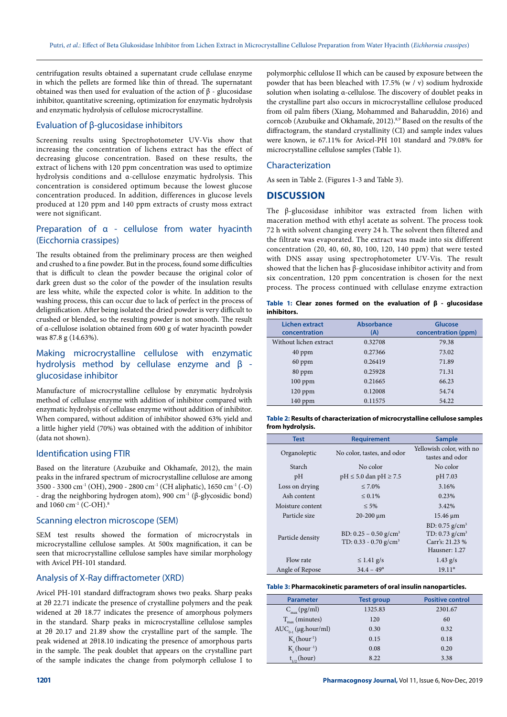centrifugation results obtained a supernatant crude cellulase enzyme in which the pellets are formed like thin of thread. The supernatant obtained was then used for evaluation of the action of β - glucosidase inhibitor, quantitative screening, optimization for enzymatic hydrolysis and enzymatic hydrolysis of cellulose microcrystalline.

## Evaluation of β-glucosidase inhibitors

Screening results using Spectrophotometer UV-Vis show that increasing the concentration of lichens extract has the effect of decreasing glucose concentration. Based on these results, the extract of lichens with 120 ppm concentration was used to optimize hydrolysis conditions and α-cellulose enzymatic hydrolysis. This concentration is considered optimum because the lowest glucose concentration produced. In addition, differences in glucose levels produced at 120 ppm and 140 ppm extracts of crusty moss extract were not significant.

# Preparation of α - cellulose from water hyacinth (Eicchornia crassipes)

The results obtained from the preliminary process are then weighed and crushed to a fine powder. But in the process, found some difficulties that is difficult to clean the powder because the original color of dark green dust so the color of the powder of the insulation results are less white, while the expected color is white. In addition to the washing process, this can occur due to lack of perfect in the process of delignification. After being isolated the dried powder is very difficult to crushed or blended, so the resulting powder is not smooth. The result of α-cellulose isolation obtained from 600 g of water hyacinth powder was 87.8 g (14.63%).

# Making microcrystalline cellulose with enzymatic hydrolysis method by cellulase enzyme and β glucosidase inhibitor

Manufacture of microcrystalline cellulose by enzymatic hydrolysis method of cellulase enzyme with addition of inhibitor compared with enzymatic hydrolysis of cellulase enzyme without addition of inhibitor. When compared, without addition of inhibitor showed 63% yield and a little higher yield (70%) was obtained with the addition of inhibitor (data not shown).

# Identification using FTIR

Based on the literature (Azubuike and Okhamafe, 2012), the main peaks in the infrared spectrum of microcrystalline cellulose are among 3500 - 3300 cm-1 (OH), 2900 - 2800 cm-1 (CH aliphatic), 1650 cm-1 (-O) - drag the neighboring hydrogen atom), 900 cm<sup>-1</sup> (β-glycosidic bond) and 1060 cm<sup>-1</sup> (C-OH).<sup>8</sup>

#### Scanning electron microscope (SEM)

SEM test results showed the formation of microcrystals in microcrystalline cellulose samples. At 500x magnification, it can be seen that microcrystalline cellulose samples have similar morphology with Avicel PH-101 standard.

# Analysis of X-Ray diffractometer (XRD)

Avicel PH-101 standard diffractogram shows two peaks. Sharp peaks at 2θ 22.71 indicate the presence of crystalline polymers and the peak widened at 2θ 18.77 indicates the presence of amorphous polymers in the standard. Sharp peaks in microcrystalline cellulose samples at 2θ 20.17 and 21.89 show the crystalline part of the sample. The peak widened at 2θ18.10 indicating the presence of amorphous parts in the sample. The peak doublet that appears on the crystalline part of the sample indicates the change from polymorph cellulose I to

polymorphic cellulose II which can be caused by exposure between the powder that has been bleached with 17.5% (w / v) sodium hydroxide solution when isolating α-cellulose. The discovery of doublet peaks in the crystalline part also occurs in microcrystalline cellulose produced from oil palm fibers (Xiang, Mohammed and Baharuddin, 2016) and corncob (Azubuike and Okhamafe, 2012).<sup>8,9</sup> Based on the results of the diffractogram, the standard crystallinity (CI) and sample index values were known, ie 67.11% for Avicel-PH 101 standard and 79.08% for microcrystalline cellulose samples (Table 1).

# Characterization

As seen in Table 2. (Figures 1-3 and Table 3).

## **DISCUSSION**

The β-glucosidase inhibitor was extracted from lichen with maceration method with ethyl acetate as solvent. The process took 72 h with solvent changing every 24 h. The solvent then filtered and the filtrate was evaporated. The extract was made into six different concentration (20, 40, 60, 80, 100, 120, 140 ppm) that were tested with DNS assay using spectrophotometer UV-Vis. The result showed that the lichen has β-glucosidase inhibitor activity and from six concentration, 120 ppm concentration is chosen for the next process. The process continued with cellulase enzyme extraction

|             |  |  |  |  |  | Table 1: Clear zones formed on the evaluation of $\beta$ - glucosidase |
|-------------|--|--|--|--|--|------------------------------------------------------------------------|
| inhibitors. |  |  |  |  |  |                                                                        |

| Lichen extract<br>concentration | <b>Absorbance</b><br>(A) | Glucose<br>concentration (ppm) |
|---------------------------------|--------------------------|--------------------------------|
| Without lichen extract          | 0.32708                  | 79.38                          |
| 40 ppm                          | 0.27366                  | 73.02                          |
| $60$ ppm                        | 0.26419                  | 71.89                          |
| 80 ppm                          | 0.25928                  | 71.31                          |
| $100$ ppm                       | 0.21665                  | 66.23                          |
| $120$ ppm                       | 0.12008                  | 54.74                          |
| $140$ ppm                       | 0.11575                  | 54.22                          |

**Table 2: Results of characterization of microcrystalline cellulose samples from hydrolysis.**

| <b>Test</b>      | <b>Requirement</b>                                                         | <b>Sample</b>                                                                                    |
|------------------|----------------------------------------------------------------------------|--------------------------------------------------------------------------------------------------|
| Organoleptic     | No color, tastes, and odor                                                 | Yellowish color, with no<br>tastes and odor                                                      |
| <b>Starch</b>    | No color                                                                   | No color                                                                                         |
| pH               | $pH \le 5.0$ dan $pH \ge 7.5$                                              | pH 7.03                                                                                          |
| Loss on drying   | $\leq 7.0\%$                                                               | 3.16%                                                                                            |
| Ash content      | $\leq 0.1\%$                                                               | 0.23%                                                                                            |
| Moisture content | $< 5\%$                                                                    | 3.42%                                                                                            |
| Particle size    | $20 - 200 \mu m$                                                           | $15.46 \mu m$                                                                                    |
| Particle density | BD: $0.25 - 0.50$ g/cm <sup>3</sup><br>TD: $0.33 - 0.70$ g/cm <sup>3</sup> | BD: $0.75$ g/cm <sup>3</sup><br>TD: $0.73$ g/cm <sup>3</sup><br>Carr's: 21.23 %<br>Hausner: 1.27 |
| Flow rate        | $\leq$ 1.41 g/s                                                            | $1.43$ g/s                                                                                       |
| Angle of Repose  | $34.4 - 49^{\circ}$                                                        | $19.11^{\circ}$                                                                                  |

#### **Table 3: Pharmacokinetic parameters of oral insulin nanoparticles.**

| <b>Parameter</b>                   | <b>Test group</b> | <b>Positive control</b> |  |  |
|------------------------------------|-------------------|-------------------------|--|--|
| $C_{\text{max}}(pg/ml)$            | 1325.83           | 2301.67                 |  |  |
| $T_{\text{max}}$ (minutes)         | 120               | 60                      |  |  |
| $AUC_{0-t}$ (µg.hour/ml)           | 0.30              | 0.32                    |  |  |
| $K_{\alpha}$ (hour <sup>-1</sup> ) | 0.15              | 0.18                    |  |  |
| $K_{\alpha}$ (hour <sup>-1</sup> ) | 0.08              | 0.20                    |  |  |
| $t_{1/2}$ (hour)                   | 8.22              | 3.38                    |  |  |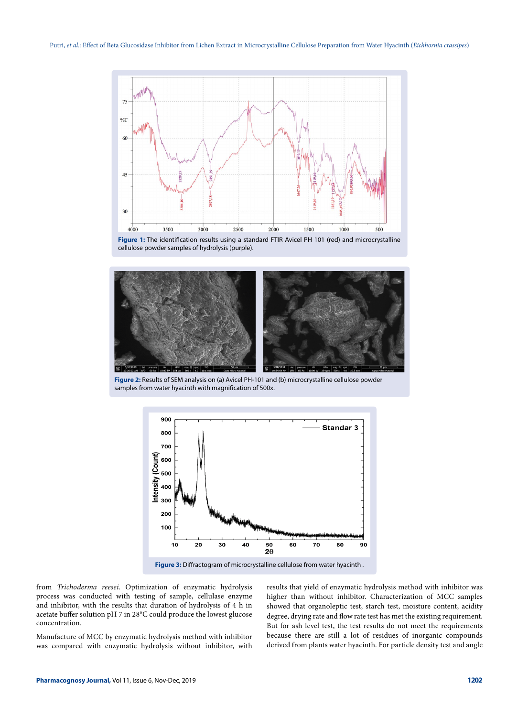

**Figure 1:** The identification results using a standard FTIR Avicel PH 101 (red) and microcrystalline cellulose powder samples of hydrolysis (purple).



**Figure 2:** Results of SEM analysis on (a) Avicel PH-101 and (b) microcrystalline cellulose powder samples from water hyacinth with magnification of 500x.



Figure 3: Diffractogram of microcrystalline cellulose from water hyacinth.

from *Trichoderma reesei*. Optimization of enzymatic hydrolysis process was conducted with testing of sample, cellulase enzyme and inhibitor, with the results that duration of hydrolysis of 4 h in acetate buffer solution pH 7 in 28°C could produce the lowest glucose concentration.

Manufacture of MCC by enzymatic hydrolysis method with inhibitor was compared with enzymatic hydrolysis without inhibitor, with results that yield of enzymatic hydrolysis method with inhibitor was higher than without inhibitor. Characterization of MCC samples showed that organoleptic test, starch test, moisture content, acidity degree, drying rate and flow rate test has met the existing requirement. But for ash level test, the test results do not meet the requirements because there are still a lot of residues of inorganic compounds derived from plants water hyacinth. For particle density test and angle